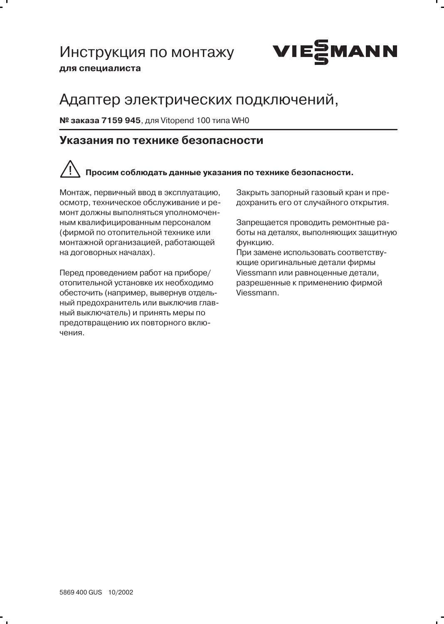## Инструкция по монтажу для специалиста



# Адаптер электрических подключений.

№ заказа 7159 945, для Vitopend 100 типа WH0

#### Указания по технике безопасности

# Просим соблюдать данные указания по технике безопасности.

Монтаж, первичный ввод в эксплуатацию, осмотр, техническое обслуживание и ремонт должны выполняться уполномоченным квалифицированным персоналом (фирмой по отопительной технике или монтажной организацией, работающей на договорных началах).

Перед проведением работ на приборе/ отопительной установке их необходимо обесточить (например, вывернув отдельный предохранитель или выключив главный выключатель) и принять меры по предотвращению их повторного включения.

Закрыть запорный газовый кран и предохранить его от случайного открытия.

Запрещается проводить ремонтные работы на деталях, выполняющих защитную функцию.

При замене использовать соответствующие оригинальные детали фирмы Viessmann или равноценные детали, разрешенные к применению фирмой Viessmann.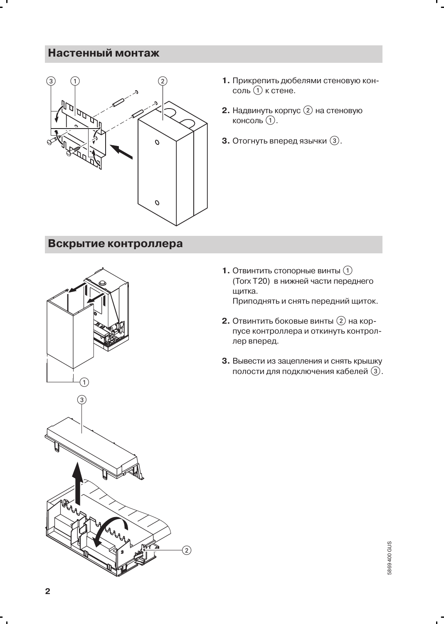### Настенный монтаж



Вскрытие контроллера





- 1. Прикрепить дюбелями стеновую консоль (1) к стене.
- 2. Надвинуть корпус 2 на стеновую консоль (1).
- **3.** Отогнуть вперед язычки  $(3)$ .

- **1.** Отвинтить стопорные винты  $(1)$ (Torx T20) в нижней части переднего шитка. Приподнять и снять передний щиток.
- 2. Отвинтить боковые винты (2) на корпусе контроллера и откинуть контроллер вперед.
- 3. Вывести из зацепления и снять крышку полости для подключения кабелей (3).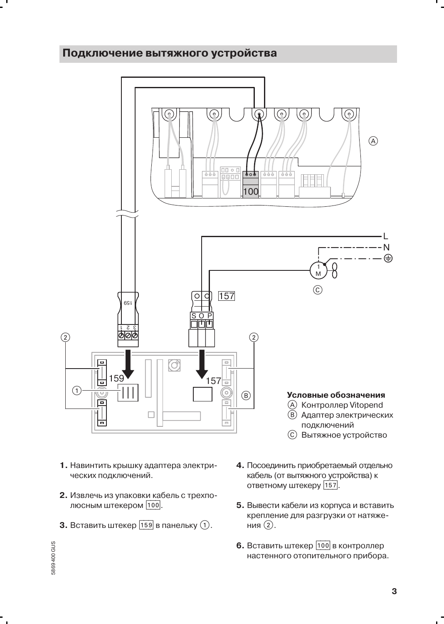#### Подключение вытяжного устройства



- 1. Навинтить крышку адаптера электрических подключений.
- 2. Извлечь из упаковки кабель с трехполюсным штекером [100].
- **3.** Вставить штекер  $\overline{159}$  в панельку  $\overline{1}$ .
- 4. Посоединить приобретаемый отдельно кабель (от вытяжного устройства) к ответному штекеру [157].
- 5. Вывести кабели из корпуса и вставить крепление для разгрузки от натяжения (2).
- 6. Вставить штекер [100] в контроллер настенного отопительного прибора.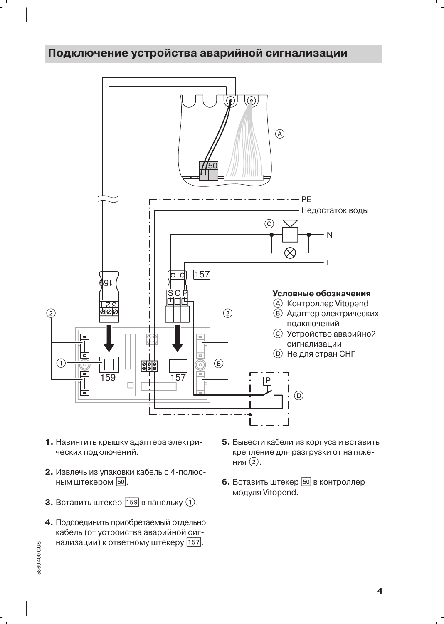### Подключение устройства аварийной сигнализации



- 1. Навинтить крышку адаптера электрических подключений.
- 2. Извлечь из упаковки кабель с 4-полюсным штекером 50.
- **3.** Вставить штекер  $\boxed{159}$  в панельку  $\boxed{1}$ .
- 4. Подсоединить приобретаемый отдельно кабель (от устройства аварийной сигнализации) к ответному штекеру [157].
- 5. Вывести кабели из корпуса и вставить крепление для разгрузки от натяжения $(2)$ .
- 6. Вставить штекер 50 в контроллер модуля Vitopend.

5869400 GUS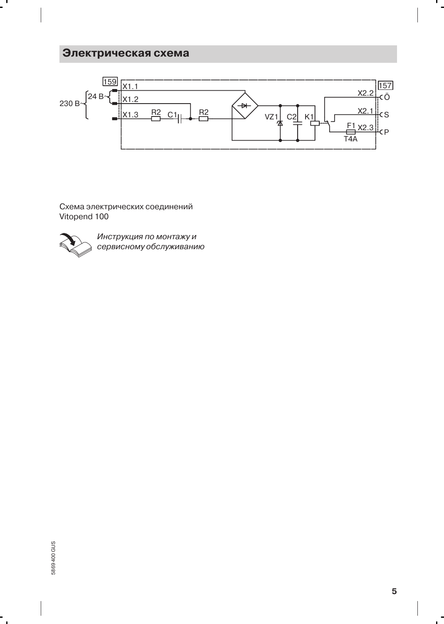### Электрическая схема



Схема электрических соединений Vitopend 100



 $\mathbf{I}$ 

Инструкция по монтажу и сервисному обслуживанию